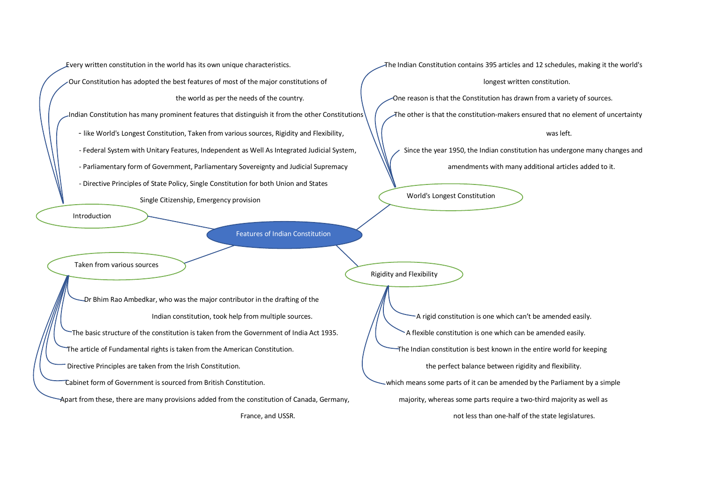Every written constitution in the world has its own unique characteristics. The Indian Constitution contains 395 articles and 12 schedules, making it the world's

Our Constitution has adopted the best features of most of the major constitutions of  $\sqrt{ }$  longest written constitution.

the world as per the needs of the country. One reason is that the Constitution has drawn from a variety of sources.

Indian Constitution has many prominent features that distinguish it from the other Constitutions  $\sqrt{\phantom{a}}$  The other is that the constitution-makers ensured that no element of uncertainty

- like World's Longest Constitution, Taken from various sources, Rigidity and Flexibility, and states and the was left.

- Federal System with Unitary Features, Independent as Well As Integrated Judicial System, Since the year 1950, the Indian constitution has undergone many changes and

- Parliamentary form of Government, Parliamentary Sovereignty and Judicial Supremacy and amendments with many additional articles added to it.

- Directive Principles of State Policy, Single Constitution for both Union and States

Single Citizenship, Emergency provision

Introduction

Features of Indian Constitution

Taken from various sources

 Dr Bhim Rao Ambedkar, who was the major contributor in the drafting of the The basic structure of the constitution is taken from the Government of India Act 1935.  $\overline{\phantom{a}}$  A flexible constitution is one which can be amended easily. The article of Fundamental rights is taken from the American Constitution.  $\overline{a}$  The Indian constitution is best known in the entire world for keeping Directive Principles are taken from the Irish Constitution. The perfect balance between rigidity and flexibility. Cabinet form of Government is sourced from British Constitution. which means some parts of it can be amended by the Parliament by a simple

Apart from these, there are many provisions added from the constitution of Canada, Germany, majority, whereas some parts require a two-third majority as well as

World's Longest Constitution

Rigidity and Flexibility

Indian constitution, took help from multiple sources.  $\frac{1}{1}$   $\frac{1}{1}$  A rigid constitution is one which can't be amended easily.

France, and USSR. The state legislatures. The state legislatures of the state legislatures.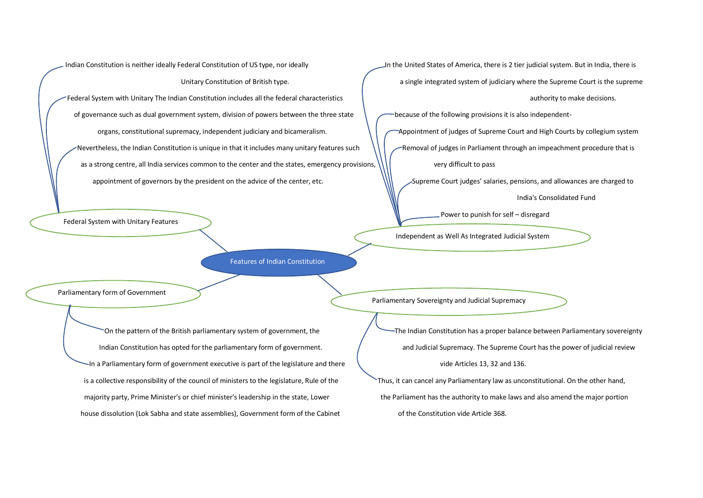Indian Constitution is neither ideally Federal Constitution of US type, nor ideally In the United States of America, there is 2 tier judicial system. But in India, there is Federal System with Unitary The Indian Constitution includes all the federal characteristics authority to make decisions. of governance such as dual government system, division of powers between the three state because of the following provisions it is also independentorgans, constitutional supremacy, independent judiciary and bicameralism. Appointment of judges of Supreme Court and High Courts by collegium system Nevertheless, the Indian Constitution is unique in that it includes many unitary features such Removal of judges in Parliament through an impeachment procedure that is as a strong centre, all India services common to the center and the states, emergency provisions,  $\| \cdot \|$  very difficult to pass appointment of governors by the president on the advice of the center, etc. Supreme Court judges' salaries, pensions, and allowances are charged to

Federal System with Unitary Features

Features of Indian Constitution

Parliamentary form of Government

In a Parliamentary form of government executive is part of the legislature and there vide Articles 13, 32 and 136. is a collective responsibility of the council of ministers to the legislature, Rule of the Thus, it can cancel any Parliamentary law as unconstitutional. On the other hand, majority party, Prime Minister's or chief minister's leadership in the state, Lower the Parliament has the authority to make laws and also amend the major portion house dissolution (Lok Sabha and state assemblies), Government form of the Cabinet of the Constitution vide Article 368.

Unitary Constitution of British type.  $\sqrt{ }$  a single integrated system of judiciary where the Supreme Court is the supreme

India's Consolidated Fund

Power to punish for self – disregard

Independent as Well As Integrated Judicial System

Parliamentary Sovereignty and Judicial Supremacy

On the pattern of the British parliamentary system of government, the The Indian Constitution has a proper balance between Parliamentary sovereignty Indian Constitution has opted for the parliamentary form of government. The Supremacy. The Supreme Court has the power of judicial review